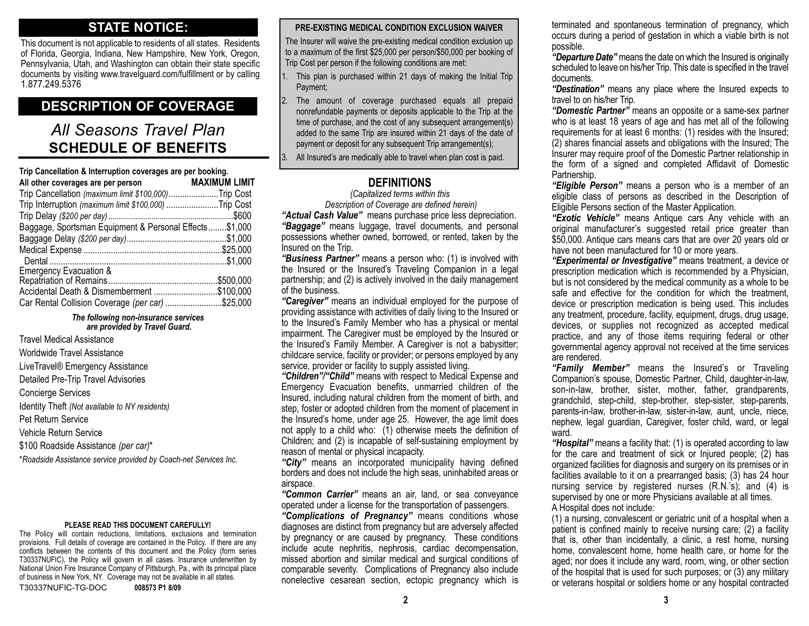### **STATE NOTICE:**

This document is not applicable to residents of all states. Residents of Florida, Georgia, Indiana, New Hampshire, New York, Oregon, Pennsylvania, Utah, and Washington can obtain their state specific documents by visiting www.travelguard.com/fulfillment or by calling 1.877.249.5376

### **DESCRIPTION OF COVERAGE**

## *All Seasons Travel Plan* **SCHEDULE OF BENEFITS**

| Trip Cancellation & Interruption coverages are per booking. |                      |  |
|-------------------------------------------------------------|----------------------|--|
| All other coverages are per person                          | <b>MAXIMUM LIMIT</b> |  |
| Trip Cancellation (maximum limit \$100,000)Trip Cost        |                      |  |
| Trip Interruption (maximum limit \$100,000) Trip Cost       |                      |  |
|                                                             |                      |  |
| Baggage, Sportsman Equipment & Personal Effects\$1,000      |                      |  |
|                                                             |                      |  |
|                                                             |                      |  |
|                                                             |                      |  |
| <b>Emergency Evacuation &amp;</b>                           |                      |  |
|                                                             |                      |  |
| Accidental Death & Dismemberment \$100,000                  |                      |  |
| Car Rental Collision Coverage (per car) \$25,000            |                      |  |

#### *The following non-insurance services are provided by Travel Guard.*

Travel Medical Assistance Worldwide Travel Assistance LiveTravel® Emergency Assistance Detailed Pre-Trip Travel Advisories Concierge Services Identity Theft *(Not available to NY residents)* Pet Return Service Vehicle Return Service \$100 Roadside Assistance *(per car)*\* *\*Roadside Assistance service provided by Coach-net Services Inc.*

#### **PLEASE READ THIS DOCUMENT CAREFULLY!**

The Policy will contain reductions, limitations, exclusions and termination provisions. Full details of coverage are contained in the Policy. If there are any conflicts between the contents of this document and the Policy (form series T30337NUFIC), the Policy will govern in all cases. Insurance underwritten by National Union Fire Insurance Company of Pittsburgh, Pa., with its principal place of business in New York, NY. Coverage may not be available in all states. T30337NUFIC-TG-DOC **008573 P1 8/09**

**PRE-EXISTING MEDICAL CONDITION EXCLUSION WAIVER**

The Insurer will waive the pre-existing medical condition exclusion up to a maximum of the first \$25,000 per person/\$50,000 per booking of Trip Cost per person if the following conditions are met:

- 1. This plan is purchased within 21 days of making the Initial Trip Payment;
- 2. The amount of coverage purchased equals all prepaid nonrefundable payments or deposits applicable to the Trip at the time of purchase, and the cost of any subsequent arrangement(s) added to the same Trip are insured within 21 days of the date of payment or deposit for any subsequent Trip arrangement(s);

3. All Insured's are medically able to travel when plan cost is paid.

### **DEFINITIONS**

*(Capitalized terms within this Description of Coverage are defined herein)*

*"Actual Cash Value"* means purchase price less depreciation. *"Baggage"* means luggage, travel documents, and personal possessions whether owned, borrowed, or rented, taken by the Insured on the Trip.

*"Business Partner"* means a person who: (1) is involved with the Insured or the Insured's Traveling Companion in a legal partnership; and (2) is actively involved in the daily management of the business.

*"Caregiver"* means an individual employed for the purpose of providing assistance with activities of daily living to the Insured or to the Insured's Family Member who has a physical or mental impairment. The Caregiver must be employed by the Insured or the Insured's Family Member. A Caregiver is not a babysitter; childcare service, facility or provider; or persons employed by any service, provider or facility to supply assisted living.

*"Children"/"Child"* means with respect to Medical Expense and Emergency Evacuation benefits, unmarried children of the Insured, including natural children from the moment of birth, and step, foster or adopted children from the moment of placement in the Insured's home, under age 25. However, the age limit does not apply to a child who:  $(1)$  otherwise meets the definition of Children; and (2) is incapable of self-sustaining employment by reason of mental or physical incapacity.

*"City"* means an incorporated municipality having defined borders and does not include the high seas, uninhabited areas or airspace.

*"Common Carrier"* means an air, land, or sea conveyance operated under a license for the transportation of passengers.

*"Complications of Pregnancy"* means conditions whose diagnoses are distinct from pregnancy but are adversely affected by pregnancy or are caused by pregnancy. These conditions include acute nephritis, nephrosis, cardiac decompensation, missed abortion and similar medical and surgical conditions of comparable severity. Complications of Pregnancy also include nonelective cesarean section, ectopic pregnancy which is

terminated and spontaneous termination of pregnancy, which occurs during a period of gestation in which a viable birth is not possible.

*"Departure Date"* means the date on which the Insured is originally scheduled to leave on his/her Trip. This date is specified in the travel documents.

*"Destination"* means any place where the Insured expects to travel to on his/her Trip.

*"Domestic Partner"* means an opposite or a same-sex partner who is at least 18 years of age and has met all of the following requirements for at least 6 months: (1) resides with the Insured; (2) shares financial assets and obligations with the Insured; The Insurer may require proof of the Domestic Partner relationship in the form of a signed and completed Affidavit of Domestic Partnership.

*"Eligible Person"* means a person who is a member of an eligible class of persons as described in the Description of Eligible Persons section of the Master Application.

*"Exotic Vehicle"* means Antique cars Any vehicle with an original manufacturer's suggested retail price greater than \$50,000. Antique cars means cars that are over 20 years old or have not been manufactured for 10 or more years.

*"Experimental or Investigative"* means treatment, a device or prescription medication which is recommended by a Physician, but is not considered by the medical community as a whole to be safe and effective for the condition for which the treatment, device or prescription medication is being used. This includes any treatment, procedure, facility, equipment, drugs, drug usage, devices, or supplies not recognized as accepted medical practice, and any of those items requiring federal or other governmental agency approval not received at the time services are rendered.

*"Family Member"* means the Insured's or Traveling Companion's spouse, Domestic Partner, Child, daughter-in-law, son-in-law, brother, sister, mother, father, grandparents, grandchild, step-child, step-brother, step-sister, step-parents, parents-in-law, brother-in-law, sister-in-law, aunt, uncle, niece, nephew, legal guardian, Caregiver, foster child, ward, or legal ward.

*"Hospital"* means a facility that: (1) is operated according to law for the care and treatment of sick or Injured people; (2) has organized facilities for diagnosis and surgery on its premises or in facilities available to it on a prearranged basis; (3) has 24 hour nursing service by registered nurses (R.N.'s); and (4) is supervised by one or more Physicians available at all times. A Hospital does not include:

(1) a nursing, convalescent or geriatric unit of a hospital when a patient is confined mainly to receive nursing care; (2) a facility that is, other than incidentally, a clinic, a rest home, nursing home, convalescent home, home health care, or home for the aged; nor does it include any ward, room, wing, or other section of the hospital that is used for such purposes; or (3) any military or veterans hospital or soldiers home or any hospital contracted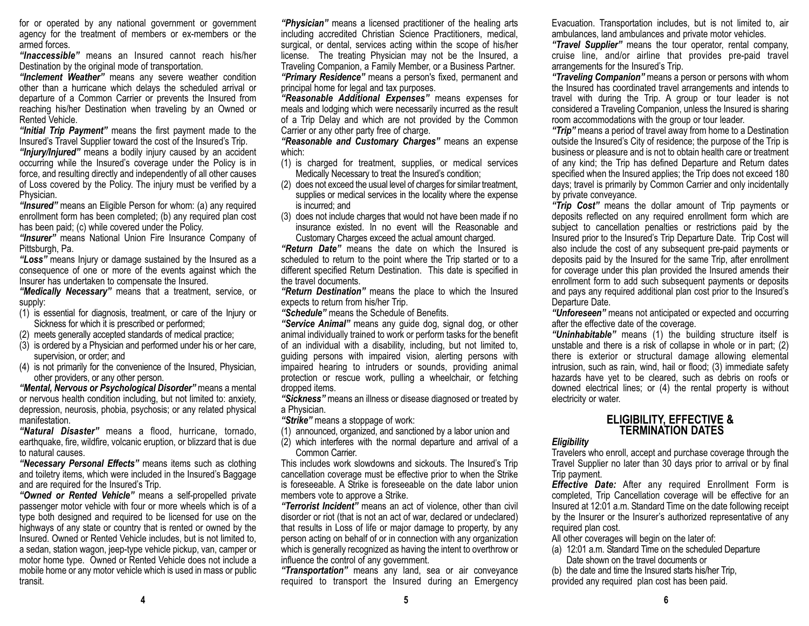for or operated by any national government or government agency for the treatment of members or ex-members or the armed forces.

*"Inaccessible"* means an Insured cannot reach his/her Destination by the original mode of transportation.

*"Inclement Weather"* means any severe weather condition other than a hurricane which delays the scheduled arrival or departure of a Common Carrier or prevents the Insured from reaching his/her Destination when traveling by an Owned or Rented Vehicle.

*"Initial Trip Payment"* means the first payment made to the Insured's Travel Supplier toward the cost of the Insured's Trip.

*"Injury/Injured"* means a bodily injury caused by an accident occurring while the Insured's coverage under the Policy is in force, and resulting directly and independently of all other causes of Loss covered by the Policy. The injury must be verified by a Physician.

*"Insured"* means an Eligible Person for whom: (a) any required enrollment form has been completed; (b) any required plan cost has been paid; (c) while covered under the Policy.

*"Insurer"* means National Union Fire Insurance Company of Pittsburgh, Pa.

*"Loss"* means Injury or damage sustained by the Insured as a consequence of one or more of the events against which the Insurer has undertaken to compensate the Insured.

*"Medically Necessary"* means that a treatment, service, or supply:

(1) is essential for diagnosis, treatment, or care of the Injury or Sickness for which it is prescribed or performed;

(2) meets generally accepted standards of medical practice;

- (3) is ordered by a Physician and performed under his or her care, supervision, or order; and
- (4) is not primarily for the convenience of the Insured, Physician, other providers, or any other person.

*"Mental, Nervous or Psychological Disorder"* means a mental or nervous health condition including, but not limited to: anxiety, depression, neurosis, phobia, psychosis; or any related physical manifestation.

*"Natural Disaster"* means a flood, hurricane, tornado, earthquake, fire, wildfire, volcanic eruption, or blizzard that is due to natural causes.

*"Necessary Personal Effects"* means items such as clothing and toiletry items, which were included in the Insured's Baggage and are required for the Insured's Trip.

*"Owned or Rented Vehicle"* means a self-propelled private passenger motor vehicle with four or more wheels which is of a type both designed and required to be licensed for use on the highways of any state or country that is rented or owned by the Insured. Owned or Rented Vehicle includes, but is not limited to, a sedan, station wagon, jeep-type vehicle pickup, van, camper or motor home type. Owned or Rented Vehicle does not include a mobile home or any motor vehicle which is used in mass or public transit.

*"Physician"* means a licensed practitioner of the healing arts including accredited Christian Science Practitioners, medical, surgical, or dental, services acting within the scope of his/her license. The treating Physician may not be the Insured, a Traveling Companion, a Family Member, or a Business Partner. *"Primary Residence"* means a person's fixed, permanent and principal home for legal and tax purposes.

*"Reasonable Additional Expenses"* means expenses for meals and lodging which were necessarily incurred as the result of a Trip Delay and which are not provided by the Common Carrier or any other party free of charge.

*"Reasonable and Customary Charges"* means an expense which:

- (1) is charged for treatment, supplies, or medical services Medically Necessary to treat the Insured's condition;
- (2) does not exceed the usual level of charges for similar treatment, supplies or medical services in the locality where the expense is incurred; and
- (3) does not include charges that would not have been made if no insurance existed. In no event will the Reasonable and Customary Charges exceed the actual amount charged.

*"Return Date"* means the date on which the Insured is scheduled to return to the point where the Trip started or to a different specified Return Destination. This date is specified in the travel documents.

*"Return Destination"* means the place to which the Insured expects to return from his/her Trip.

*"Schedule"* means the Schedule of Benefits.

*"Service Animal"* means any guide dog, signal dog, or other animal individually trained to work or perform tasks for the benefit of an individual with a disability, including, but not limited to, guiding persons with impaired vision, alerting persons with impaired hearing to intruders or sounds, providing animal protection or rescue work, pulling a wheelchair, or fetching dropped items.

*"Sickness"* means an illness or disease diagnosed or treated by a Physician.

*"Strike"* means a stoppage of work:

(1) announced, organized, and sanctioned by a labor union and

(2) which interferes with the normal departure and arrival of a Common Carrier.

This includes work slowdowns and sickouts. The Insured's Trip cancellation coverage must be effective prior to when the Strike is foreseeable. A Strike is foreseeable on the date labor union members vote to approve a Strike.

*"Terrorist Incident"* means an act of violence, other than civil disorder or riot (that is not an act of war, declared or undeclared) that results in Loss of life or major damage to property, by any person acting on behalf of or in connection with any organization which is generally recognized as having the intent to overthrow or influence the control of any government.

*"Transportation"* means any land, sea or air conveyance required to transport the Insured during an Emergency Evacuation. Transportation includes, but is not limited to, air ambulances, land ambulances and private motor vehicles.

*"Travel Supplier"* means the tour operator, rental company, cruise line, and/or airline that provides pre-paid travel arrangements for the Insured's Trip.

*"Traveling Companion"* means a person or persons with whom the Insured has coordinated travel arrangements and intends to travel with during the Trip. A group or tour leader is not considered a Traveling Companion, unless the Insured is sharing room accommodations with the group or tour leader.

*"Trip"* means a period of travel away from home to a Destination outside the Insured's City of residence; the purpose of the Trip is business or pleasure and is not to obtain health care or treatment of any kind; the Trip has defined Departure and Return dates specified when the Insured applies; the Trip does not exceed 180 days; travel is primarily by Common Carrier and only incidentally by private conveyance.

*"Trip Cost"* means the dollar amount of Trip payments or deposits reflected on any required enrollment form which are subject to cancellation penalties or restrictions paid by the Insured prior to the Insured's Trip Departure Date. Trip Cost will also include the cost of any subsequent pre-paid payments or deposits paid by the Insured for the same Trip, after enrollment for coverage under this plan provided the Insured amends their enrollment form to add such subsequent payments or deposits and pays any required additional plan cost prior to the Insured's Departure Date.

*"Unforeseen"* means not anticipated or expected and occurring after the effective date of the coverage.

*"Uninhabitable"* means (1) the building structure itself is unstable and there is a risk of collapse in whole or in part; (2) there is exterior or structural damage allowing elemental intrusion, such as rain, wind, hail or flood; (3) immediate safety hazards have yet to be cleared, such as debris on roofs or downed electrical lines; or (4) the rental property is without electricity or water.

# **ELIGIBILITY, EFFECTIVE & TERMINATION DATES**

### *Eligibility*

Travelers who enroll, accept and purchase coverage through the Travel Supplier no later than 30 days prior to arrival or by final Trip payment.

*Effective Date:* After any required Enrollment Form is completed, Trip Cancellation coverage will be effective for an Insured at 12:01 a.m. Standard Time on the date following receipt by the Insurer or the Insurer's authorized representative of any required plan cost.

All other coverages will begin on the later of:

- (a) 12:01 a.m. Standard Time on the scheduled Departure Date shown on the travel documents or
- (b) the date and time the Insured starts his/her Trip, provided any required plan cost has been paid.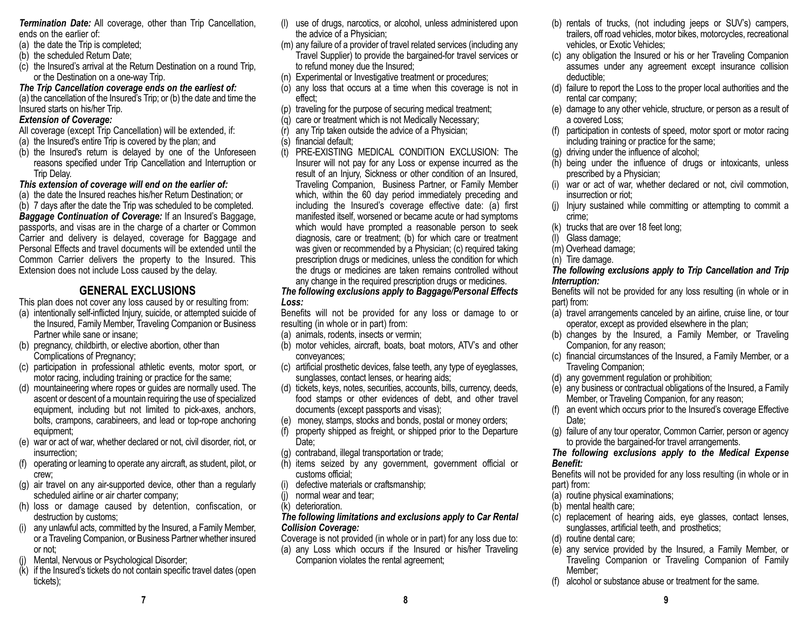*Termination Date:* All coverage, other than Trip Cancellation, ends on the earlier of:

- (a) the date the Trip is completed;
- (b) the scheduled Return Date;
- (c) the Insured's arrival at the Return Destination on a round Trip, or the Destination on a one-way Trip.

*The Trip Cancellation coverage ends on the earliest of:* 

(a) the cancellation of the Insured's Trip; or (b) the date and time the Insured starts on his/her Trip.

### *Extension of Coverage:*

- All coverage (except Trip Cancellation) will be extended, if:
- (a) the Insured's entire Trip is covered by the plan; and
- (b) the Insured's return is delayed by one of the Unforeseen reasons specified under Trip Cancellation and Interruption or Trip Delay.

#### *This extension of coverage will end on the earlier of:*

(a) the date the Insured reaches his/her Return Destination; or

(b) 7 days after the date the Trip was scheduled to be completed. *Baggage Continuation of Coverage:* If an Insured's Baggage, passports, and visas are in the charge of a charter or Common Carrier and delivery is delayed, coverage for Baggage and Personal Effects and travel documents will be extended until the Common Carrier delivers the property to the Insured. This Extension does not include Loss caused by the delay.

### **GENERAL EXCLUSIONS**

This plan does not cover any loss caused by or resulting from:

- (a) intentionally self-inflicted Injury, suicide, or attempted suicide of the Insured, Family Member, Traveling Companion or Business Partner while sane or insane;
- (b) pregnancy, childbirth, or elective abortion, other than Complications of Pregnancy;
- (c) participation in professional athletic events, motor sport, or motor racing, including training or practice for the same;
- (d) mountaineering where ropes or guides are normally used. The ascent or descent of a mountain requiring the use of specialized equipment, including but not limited to pick-axes, anchors, bolts, crampons, carabineers, and lead or top-rope anchoring equipment;
- (e) war or act of war, whether declared or not, civil disorder, riot, or insurrection;
- (f) operating or learning to operate any aircraft, as student, pilot, or crew;
- (g) air travel on any air-supported device, other than a regularly scheduled airline or air charter company;
- (h) loss or damage caused by detention, confiscation, or destruction by customs;
- (i) any unlawful acts, committed by the Insured, a Family Member, or a Traveling Companion, or Business Partner whether insured or not;
- Mental, Nervous or Psychological Disorder;
- (k) if the Insured's tickets do not contain specific travel dates (open tickets);
- (l) use of drugs, narcotics, or alcohol, unless administered upon the advice of a Physician;
- (m) any failure of a provider of travel related services (including any Travel Supplier) to provide the bargained-for travel services or to refund money due the Insured;
- (n) Experimental or Investigative treatment or procedures;
- (o) any loss that occurs at a time when this coverage is not in effect;
- (p) traveling for the purpose of securing medical treatment;
- (q) care or treatment which is not Medically Necessary;
- (r) any Trip taken outside the advice of a Physician;
- (s) financial default;
- (t) PRE-EXISTING MEDICAL CONDITION EXCLUSION: The Insurer will not pay for any Loss or expense incurred as the result of an Injury, Sickness or other condition of an Insured, Traveling Companion, Business Partner, or Family Member which, within the 60 day period immediately preceding and including the Insured's coverage effective date: (a) first manifested itself, worsened or became acute or had symptoms which would have prompted a reasonable person to seek diagnosis, care or treatment; (b) for which care or treatment was given or recommended by a Physician; (c) required taking prescription drugs or medicines, unless the condition for which the drugs or medicines are taken remains controlled without any change in the required prescription drugs or medicines.

#### *The following exclusions apply to Baggage/Personal Effects Loss:*

Benefits will not be provided for any loss or damage to or resulting (in whole or in part) from:

- (a) animals, rodents, insects or vermin;
- (b) motor vehicles, aircraft, boats, boat motors, ATV's and other conveyances;
- (c) artificial prosthetic devices, false teeth, any type of eyeglasses, sunglasses, contact lenses, or hearing aids;
- (d) tickets, keys, notes, securities, accounts, bills, currency, deeds, food stamps or other evidences of debt, and other travel documents (except passports and visas);
- (e) money, stamps, stocks and bonds, postal or money orders;
- (f) property shipped as freight, or shipped prior to the Departure Date:
- (g) contraband, illegal transportation or trade;
- (h) items seized by any government, government official or customs official;
- defective materials or craftsmanship;
- (j) normal wear and tear;
- (k) deterioration.

#### *The following limitations and exclusions apply to Car Rental Collision Coverage:*

Coverage is not provided (in whole or in part) for any loss due to:

(a) any Loss which occurs if the Insured or his/her Traveling Companion violates the rental agreement;

- (b) rentals of trucks, (not including jeeps or SUV's) campers, trailers, off road vehicles, motor bikes, motorcycles, recreational vehicles, or Exotic Vehicles;
- (c) any obligation the Insured or his or her Traveling Companion assumes under any agreement except insurance collision deductible;
- (d) failure to report the Loss to the proper local authorities and the rental car company;
- (e) damage to any other vehicle, structure, or person as a result of a covered Loss;
- (f) participation in contests of speed, motor sport or motor racing including training or practice for the same;
- (g) driving under the influence of alcohol;
- (h) being under the influence of drugs or intoxicants, unless prescribed by a Physician;
- (i) war or act of war, whether declared or not, civil commotion, insurrection or riot;
- (j) Injury sustained while committing or attempting to commit a crime;
- (k) trucks that are over 18 feet long;
- (l) Glass damage;
- (m) Overhead damage;
- (n) Tire damage.

### *The following exclusions apply to Trip Cancellation and Trip Interruption:*

Benefits will not be provided for any loss resulting (in whole or in part) from:

- (a) travel arrangements canceled by an airline, cruise line, or tour operator, except as provided elsewhere in the plan;
- (b) changes by the Insured, a Family Member, or Traveling Companion, for any reason;
- (c) financial circumstances of the Insured, a Family Member, or a Traveling Companion;
- (d) any government regulation or prohibition;
- (e) any business or contractual obligations of the Insured, a Family Member, or Traveling Companion, for any reason;
- (f) an event which occurs prior to the Insured's coverage Effective Date:
- (g) failure of any tour operator, Common Carrier, person or agency to provide the bargained-for travel arrangements.

#### *The following exclusions apply to the Medical Expense Benefit:*

Benefits will not be provided for any loss resulting (in whole or in part) from:

- (a) routine physical examinations;
- (b) mental health care;
- (c) replacement of hearing aids, eye glasses, contact lenses, sunglasses, artificial teeth, and prosthetics;
- (d) routine dental care;
- (e) any service provided by the Insured, a Family Member, or Traveling Companion or Traveling Companion of Family Member;
- (f) alcohol or substance abuse or treatment for the same.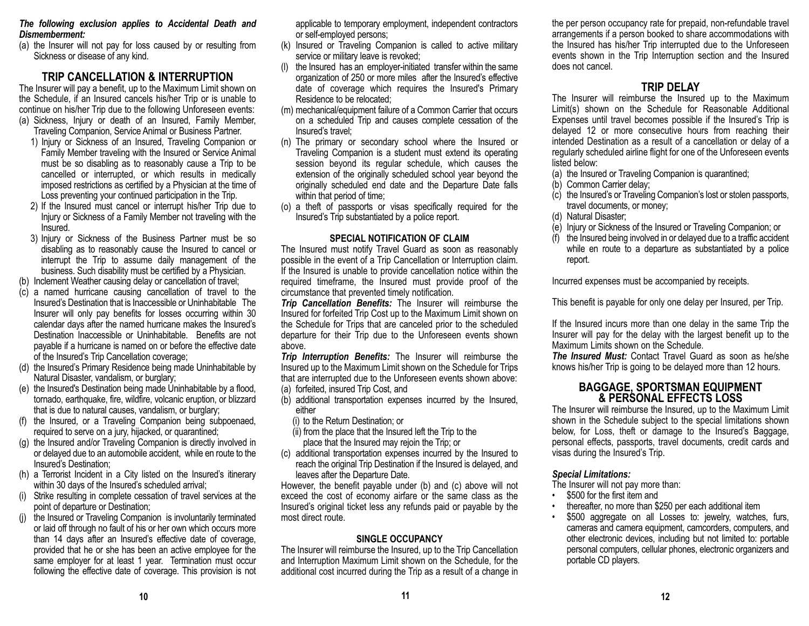#### *The following exclusion applies to Accidental Death and Dismemberment:*

(a) the Insurer will not pay for loss caused by or resulting from Sickness or disease of any kind.

### **TRIP CANCELLATION & INTERRUPTION**

The Insurer will pay a benefit, up to the Maximum Limit shown on the Schedule, if an Insured cancels his/her Trip or is unable to continue on his/her Trip due to the following Unforeseen events: (a) Sickness, Injury or death of an Insured, Family Member,

- Traveling Companion, Service Animal or Business Partner.
- 1) Injury or Sickness of an Insured, Traveling Companion or Family Member traveling with the Insured or Service Animal must be so disabling as to reasonably cause a Trip to be cancelled or interrupted, or which results in medically imposed restrictions as certified by a Physician at the time of Loss preventing your continued participation in the Trip.
- 2) If the Insured must cancel or interrupt his/her Trip due to Injury or Sickness of a Family Member not traveling with the Insured.
- 3) Injury or Sickness of the Business Partner must be so disabling as to reasonably cause the Insured to cancel or interrupt the Trip to assume daily management of the business. Such disability must be certified by a Physician.
- (b) Inclement Weather causing delay or cancellation of travel;
- (c) a named hurricane causing cancellation of travel to the Insured's Destination that is Inaccessible or Uninhabitable The Insurer will only pay benefits for losses occurring within 30 calendar days after the named hurricane makes the Insured's Destination Inaccessible or Uninhabitable. Benefits are not payable if a hurricane is named on or before the effective date of the Insured's Trip Cancellation coverage;
- (d) the Insured's Primary Residence being made Uninhabitable by Natural Disaster, vandalism, or burglary;
- (e) the Insured's Destination being made Uninhabitable by a flood, tornado, earthquake, fire, wildfire, volcanic eruption, or blizzard that is due to natural causes, vandalism, or burglary;
- (f) the Insured, or a Traveling Companion being subpoenaed, required to serve on a jury, hijacked, or quarantined;
- (g) the Insured and/or Traveling Companion is directly involved in or delayed due to an automobile accident, while en route to the Insured's Destination;
- (h) a Terrorist Incident in a City listed on the Insured's itinerary within 30 days of the Insured's scheduled arrival;
- (i) Strike resulting in complete cessation of travel services at the point of departure or Destination;
- the Insured or Traveling Companion is involuntarily terminated or laid off through no fault of his or her own which occurs more than 14 days after an Insured's effective date of coverage, provided that he or she has been an active employee for the same employer for at least 1 year. Termination must occur following the effective date of coverage. This provision is not

applicable to temporary employment, independent contractors or self-employed persons;

- (k) Insured or Traveling Companion is called to active military service or military leave is revoked;
- (l) the Insured has an employer-initiated transfer within the same organization of 250 or more miles after the Insured's effective date of coverage which requires the Insured's Primary Residence to be relocated;
- (m) mechanical/equipment failure of a Common Carrier that occurs on a scheduled Trip and causes complete cessation of the Insured's travel;
- (n) The primary or secondary school where the Insured or Traveling Companion is a student must extend its operating session beyond its regular schedule, which causes the extension of the originally scheduled school year beyond the originally scheduled end date and the Departure Date falls within that period of time;
- (o) a theft of passports or visas specifically required for the Insured's Trip substantiated by a police report.

#### **SPECIAL NOTIFICATION OF CLAIM**

The Insured must notify Travel Guard as soon as reasonably possible in the event of a Trip Cancellation or Interruption claim. If the Insured is unable to provide cancellation notice within the required timeframe, the Insured must provide proof of the circumstance that prevented timely notification.

*Trip Cancellation Benefits:* The Insurer will reimburse the Insured for forfeited Trip Cost up to the Maximum Limit shown on the Schedule for Trips that are canceled prior to the scheduled departure for their Trip due to the Unforeseen events shown above.

*Trip Interruption Benefits:* The Insurer will reimburse the Insured up to the Maximum Limit shown on the Schedule for Trips that are interrupted due to the Unforeseen events shown above: (a) forfeited, insured Trip Cost, and

- (b) additional transportation expenses incurred by the Insured, either
	- (i) to the Return Destination; or
	- (ii) from the place that the Insured left the Trip to the place that the Insured may rejoin the Trip; or
- (c) additional transportation expenses incurred by the Insured to reach the original Trip Destination if the Insured is delayed, and leaves after the Departure Date.

However, the benefit payable under (b) and (c) above will not exceed the cost of economy airfare or the same class as the Insured's original ticket less any refunds paid or payable by the most direct route.

#### **SINGLE OCCUPANCY**

The Insurer will reimburse the Insured, up to the Trip Cancellation and Interruption Maximum Limit shown on the Schedule, for the additional cost incurred during the Trip as a result of a change in the per person occupancy rate for prepaid, non-refundable travel arrangements if a person booked to share accommodations with the Insured has his/her Trip interrupted due to the Unforeseen events shown in the Trip Interruption section and the Insured does not cancel.

### **TRIP DELAY**

The Insurer will reimburse the Insured up to the Maximum Limit(s) shown on the Schedule for Reasonable Additional Expenses until travel becomes possible if the Insured's Trip is delayed 12 or more consecutive hours from reaching their intended Destination as a result of a cancellation or delay of a regularly scheduled airline flight for one of the Unforeseen events listed below:

- (a) the Insured or Traveling Companion is quarantined;
- (b) Common Carrier delay;
- (c) the Insured's or Traveling Companion's lost or stolen passports, travel documents, or money;
- (d) Natural Disaster;
- (e) Injury or Sickness of the Insured or Traveling Companion; or
- (f) the Insured being involved in or delayed due to a traffic accident while en route to a departure as substantiated by a police report.

Incurred expenses must be accompanied by receipts.

This benefit is payable for only one delay per Insured, per Trip.

If the Insured incurs more than one delay in the same Trip the Insurer will pay for the delay with the largest benefit up to the Maximum Limits shown on the Schedule.

*The Insured Must:* Contact Travel Guard as soon as he/she knows his/her Trip is going to be delayed more than 12 hours.

## **BAGGAGE, SPORTSMAN EQUIPMENT & PERSONAL EFFECTS LOSS**

The Insurer will reimburse the Insured, up to the Maximum Limit shown in the Schedule subject to the special limitations shown below, for Loss, theft or damage to the Insured's Baggage, personal effects, passports, travel documents, credit cards and visas during the Insured's Trip.

#### *Special Limitations:*

•

The Insurer will not pay more than:

- \$500 for the first item and
- thereafter, no more than \$250 per each additional item
- \$500 aggregate on all Losses to: jewelry, watches, furs, cameras and camera equipment, camcorders, computers, and other electronic devices, including but not limited to: portable personal computers, cellular phones, electronic organizers and portable CD players.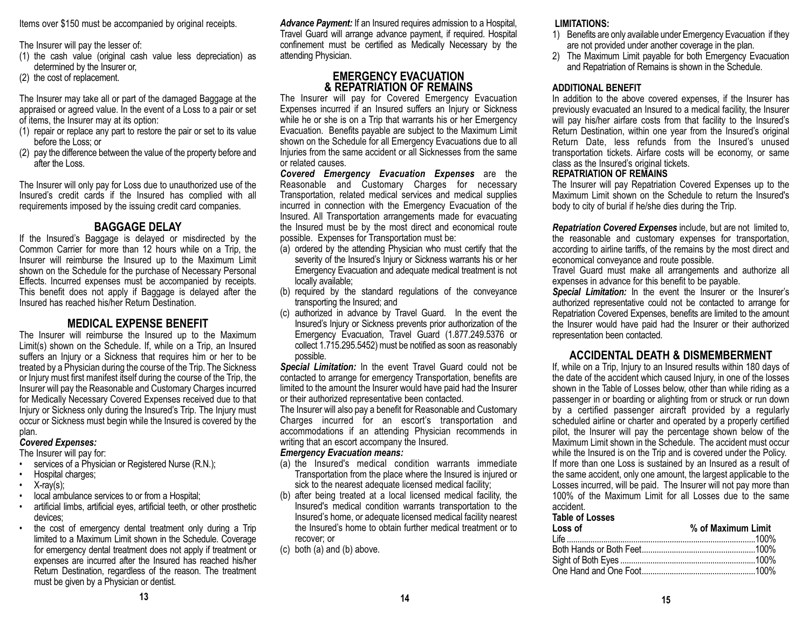Items over \$150 must be accompanied by original receipts.

The Insurer will pay the lesser of:

- (1) the cash value (original cash value less depreciation) as determined by the Insurer or,
- (2) the cost of replacement.

The Insurer may take all or part of the damaged Baggage at the appraised or agreed value. In the event of a Loss to a pair or set of items, the Insurer may at its option:

- (1) repair or replace any part to restore the pair or set to its value before the Loss; or
- (2) pay the difference between the value of the property before and after the Loss.

The Insurer will only pay for Loss due to unauthorized use of the Insured's credit cards if the Insured has complied with all requirements imposed by the issuing credit card companies.

### **BAGGAGE DELAY**

If the Insured's Baggage is delayed or misdirected by the Common Carrier for more than 12 hours while on a Trip, the Insurer will reimburse the Insured up to the Maximum Limit shown on the Schedule for the purchase of Necessary Personal Effects. Incurred expenses must be accompanied by receipts. This benefit does not apply if Baggage is delayed after the Insured has reached his/her Return Destination.

### **MEDICAL EXPENSE BENEFIT**

The Insurer will reimburse the Insured up to the Maximum Limit(s) shown on the Schedule. If, while on a Trip, an Insured suffers an Injury or a Sickness that requires him or her to be treated by a Physician during the course of the Trip. The Sickness or Injury must first manifest itself during the course of the Trip, the Insurer will pay the Reasonable and Customary Charges incurred for Medically Necessary Covered Expenses received due to that Injury or Sickness only during the Insured's Trip. The Injury must occur or Sickness must begin while the Insured is covered by the plan.

### *Covered Expenses:*

### The Insurer will pay for:

- •services of a Physician or Registered Nurse (R.N.);
- •Hospital charges;
- •X-ray(s);
- •local ambulance services to or from a Hospital;
- • artificial limbs, artificial eyes, artificial teeth, or other prosthetic devices;
- • the cost of emergency dental treatment only during a Trip limited to a Maximum Limit shown in the Schedule. Coverage for emergency dental treatment does not apply if treatment or expenses are incurred after the Insured has reached his/her Return Destination, regardless of the reason. The treatment must be given by a Physician or dentist.

*Advance Payment:* If an Insured requires admission to a Hospital, Travel Guard will arrange advance payment, if required. Hospital confinement must be certified as Medically Necessary by the attending Physician.

### **EMERGENCY EVACUATION & REPATRIATION OF REMAINS**

The Insurer will pay for Covered Emergency Evacuation Expenses incurred if an Insured suffers an Injury or Sickness while he or she is on a Trip that warrants his or her Emergency Evacuation. Benefits payable are subject to the Maximum Limit shown on the Schedule for all Emergency Evacuations due to all Injuries from the same accident or all Sicknesses from the same or related causes.

*Covered Emergency Evacuation Expenses* are the Reasonable and Customary Charges for necessary Transportation, related medical services and medical supplies incurred in connection with the Emergency Evacuation of the Insured. All Transportation arrangements made for evacuating the Insured must be by the most direct and economical route possible. Expenses for Transportation must be:

- (a) ordered by the attending Physician who must certify that the severity of the Insured's Injury or Sickness warrants his or her Emergency Evacuation and adequate medical treatment is not locally available;
- (b) required by the standard regulations of the conveyance transporting the Insured; and
- (c) authorized in advance by Travel Guard. In the event the Insured's Injury or Sickness prevents prior authorization of the Emergency Evacuation, Travel Guard (1.877.249.5376 or collect 1.715.295.5452) must be notified as soon as reasonably possible.

*Special Limitation:* In the event Travel Guard could not be contacted to arrange for emergency Transportation, benefits are limited to the amount the Insurer would have paid had the Insurer or their authorized representative been contacted.

The Insurer will also pay a benefit for Reasonable and Customary Charges incurred for an escort's transportation and accommodations if an attending Physician recommends in writing that an escort accompany the Insured.

#### *Emergency Evacuation means:*

- (a) the Insured's medical condition warrants immediate Transportation from the place where the Insured is injured or sick to the nearest adequate licensed medical facility;
- (b) after being treated at a local licensed medical facility, the Insured's medical condition warrants transportation to the Insured's home, or adequate licensed medical facility nearest the Insured's home to obtain further medical treatment or to recover; or
- (c) both (a) and (b) above.

#### **LIMITATIONS:**

- 1) Benefits are only available under Emergency Evacuation if they are not provided under another coverage in the plan.
- 2) The Maximum Limit payable for both Emergency Evacuation and Repatriation of Remains is shown in the Schedule.

#### **ADDITIONAL BENEFIT**

In addition to the above covered expenses, if the Insurer has previously evacuated an Insured to a medical facility, the Insurer will pay his/her airfare costs from that facility to the Insured's Return Destination, within one year from the Insured's original Return Date, less refunds from the Insured's unused transportation tickets. Airfare costs will be economy, or same class as the Insured's original tickets.

#### **REPATRIATION OF REMAINS**

The Insurer will pay Repatriation Covered Expenses up to the Maximum Limit shown on the Schedule to return the Insured's body to city of burial if he/she dies during the Trip.

*Repatriation Covered Expenses* include, but are not limited to, the reasonable and customary expenses for transportation, according to airline tariffs, of the remains by the most direct and economical conveyance and route possible.

Travel Guard must make all arrangements and authorize all expenses in advance for this benefit to be payable.

*Special Limitation:* In the event the Insurer or the Insurer's authorized representative could not be contacted to arrange for Repatriation Covered Expenses, benefits are limited to the amount the Insurer would have paid had the Insurer or their authorized representation been contacted.

### **ACCIDENTAL DEATH & DISMEMBERMENT**

If, while on a Trip, Injury to an Insured results within 180 days of the date of the accident which caused Injury, in one of the losses shown in the Table of Losses below, other than while riding as a passenger in or boarding or alighting from or struck or run down by a certified passenger aircraft provided by a regularly scheduled airline or charter and operated by a properly certified pilot, the Insurer will pay the percentage shown below of the Maximum Limit shown in the Schedule. The accident must occur while the Insured is on the Trip and is covered under the Policy. If more than one Loss is sustained by an Insured as a result of the same accident, only one amount, the largest applicable to the Losses incurred, will be paid. The Insurer will not pay more than 100% of the Maximum Limit for all Losses due to the same accident.

#### **Table of Losses**

| Loss of | % of Maximum Limit |  |
|---------|--------------------|--|
|         |                    |  |
|         |                    |  |
|         |                    |  |
|         |                    |  |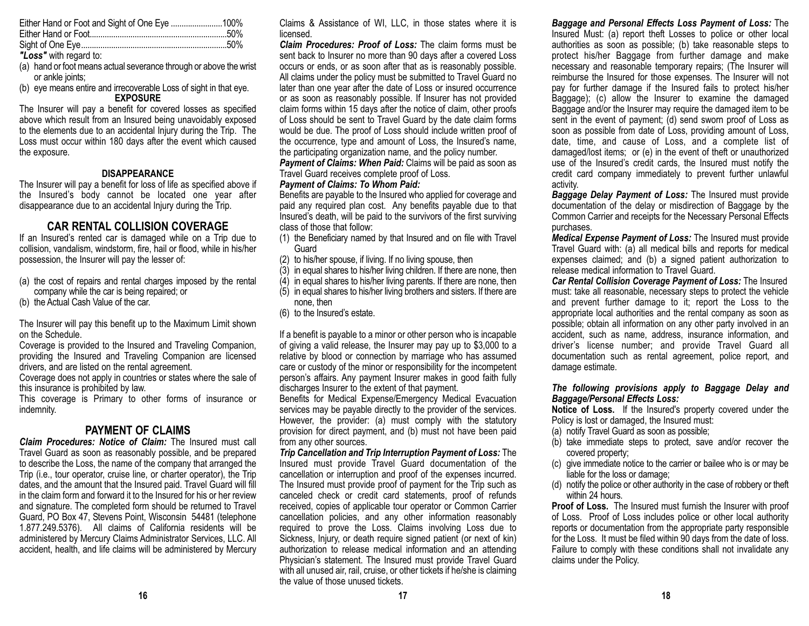*"Loss"* with regard to:

- (a) hand or foot means actual severance through or above the wrist or ankle joints:
- (b) eye means entire and irrecoverable Loss of sight in that eye. **EXPOSURE**

The Insurer will pay a benefit for covered losses as specified above which result from an Insured being unavoidably exposed to the elements due to an accidental Injury during the Trip. The Loss must occur within 180 days after the event which caused the exposure.

#### **DISAPPEARANCE**

The Insurer will pay a benefit for loss of life as specified above if the Insured's body cannot be located one year after disappearance due to an accidental Injury during the Trip.

### **CAR RENTAL COLLISION COVERAGE**

If an Insured's rented car is damaged while on a Trip due to collision, vandalism, windstorm, fire, hail or flood, while in his/her possession, the Insurer will pay the lesser of:

- (a) the cost of repairs and rental charges imposed by the rental company while the car is being repaired; or
- (b) the Actual Cash Value of the car.

The Insurer will pay this benefit up to the Maximum Limit shown on the Schedule.

Coverage is provided to the Insured and Traveling Companion, providing the Insured and Traveling Companion are licensed drivers, and are listed on the rental agreement.

Coverage does not apply in countries or states where the sale of this insurance is prohibited by law.

This coverage is Primary to other forms of insurance or indemnity.

### **PAYMENT OF CLAIMS**

*Claim Procedures: Notice of Claim:* The Insured must call Travel Guard as soon as reasonably possible, and be prepared to describe the Loss, the name of the company that arranged the Trip (i.e., tour operator, cruise line, or charter operator), the Trip dates, and the amount that the Insured paid. Travel Guard will fill in the claim form and forward it to the Insured for his or her review and signature. The completed form should be returned to Travel Guard, PO Box 47, Stevens Point, Wisconsin 54481 (telephone 1.877.249.5376). All claims of California residents will be administered by Mercury Claims Administrator Services, LLC. All accident, health, and life claims will be administered by Mercury Claims & Assistance of WI, LLC, in those states where it is licensed.

*Claim Procedures: Proof of Loss:* The claim forms must be sent back to Insurer no more than 90 days after a covered Loss occurs or ends, or as soon after that as is reasonably possible. All claims under the policy must be submitted to Travel Guard no later than one year after the date of Loss or insured occurrence or as soon as reasonably possible. If Insurer has not provided claim forms within 15 days after the notice of claim, other proofs of Loss should be sent to Travel Guard by the date claim forms would be due. The proof of Loss should include written proof of the occurrence, type and amount of Loss, the Insured's name, the participating organization name, and the policy number.

*Payment of Claims: When Paid:* Claims will be paid as soon as Travel Guard receives complete proof of Loss.

#### *Payment of Claims: To Whom Paid:*

Benefits are payable to the Insured who applied for coverage and paid any required plan cost. Any benefits payable due to that Insured's death, will be paid to the survivors of the first surviving class of those that follow:

- (1) the Beneficiary named by that Insured and on file with Travel **Guard**
- (2) to his/her spouse, if living. If no living spouse, then
- $(3)$  in equal shares to his/her living children. If there are none, then
- $(4)$  in equal shares to his/her living parents. If there are none, then
- (5) in equal shares to his/her living brothers and sisters. If there are none, then
- (6) to the Insured's estate.

If a benefit is payable to a minor or other person who is incapable of giving a valid release, the Insurer may pay up to \$3,000 to a relative by blood or connection by marriage who has assumed care or custody of the minor or responsibility for the incompetent person's affairs. Any payment Insurer makes in good faith fully discharges Insurer to the extent of that payment.

Benefits for Medical Expense/Emergency Medical Evacuation services may be payable directly to the provider of the services. However, the provider: (a) must comply with the statutory provision for direct payment, and (b) must not have been paid from any other sources.

*Trip Cancellation and Trip Interruption Payment of Loss:* The Insured must provide Travel Guard documentation of the cancellation or interruption and proof of the expenses incurred. The Insured must provide proof of payment for the Trip such as canceled check or credit card statements, proof of refunds received, copies of applicable tour operator or Common Carrier cancellation policies, and any other information reasonably required to prove the Loss. Claims involving Loss due to Sickness, Injury, or death require signed patient (or next of kin) authorization to release medical information and an attending Physician's statement. The Insured must provide Travel Guard with all unused air, rail, cruise, or other tickets if he/she is claiming the value of those unused tickets.

*Baggage and Personal Effects Loss Payment of Loss:* The Insured Must: (a) report theft Losses to police or other local authorities as soon as possible; (b) take reasonable steps to protect his/her Baggage from further damage and make necessary and reasonable temporary repairs; (The Insurer will reimburse the Insured for those expenses. The Insurer will not pay for further damage if the Insured fails to protect his/her Baggage); (c) allow the Insurer to examine the damaged Baggage and/or the Insurer may require the damaged item to be sent in the event of payment; (d) send sworn proof of Loss as soon as possible from date of Loss, providing amount of Loss, date, time, and cause of Loss, and a complete list of damaged/lost items; or (e) in the event of theft or unauthorized use of the Insured's credit cards, the Insured must notify the credit card company immediately to prevent further unlawful activity.

*Baggage Delay Payment of Loss:* The Insured must provide documentation of the delay or misdirection of Baggage by the Common Carrier and receipts for the Necessary Personal Effects purchases.

*Medical Expense Payment of Loss:* The Insured must provide Travel Guard with: (a) all medical bills and reports for medical expenses claimed; and (b) a signed patient authorization to release medical information to Travel Guard.

*Car Rental Collision Coverage Payment of Loss:* The Insured must: take all reasonable, necessary steps to protect the vehicle and prevent further damage to it; report the Loss to the appropriate local authorities and the rental company as soon as possible; obtain all information on any other party involved in an accident, such as name, address, insurance information, and driver's license number; and provide Travel Guard all documentation such as rental agreement, police report, and damage estimate.

#### *The following provisions apply to Baggage Delay and Baggage/Personal Effects Loss:*

**Notice of Loss.** If the Insured's property covered under the Policy is lost or damaged, the Insured must:

- (a) notify Travel Guard as soon as possible;
- (b) take immediate steps to protect, save and/or recover the covered property;
- (c) give immediate notice to the carrier or bailee who is or may be liable for the loss or damage;
- (d) notify the police or other authority in the case of robbery or theft within 24 hours.

**Proof of Loss.** The Insured must furnish the Insurer with proof of Loss. Proof of Loss includes police or other local authority reports or documentation from the appropriate party responsible for the Loss. It must be filed within 90 days from the date of loss. Failure to comply with these conditions shall not invalidate any claims under the Policy.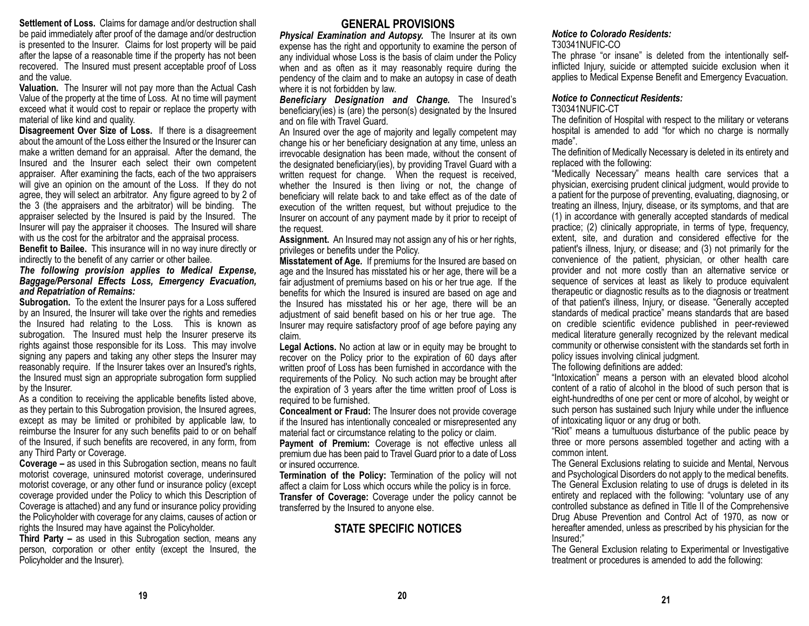**Settlement of Loss.** Claims for damage and/or destruction shall be paid immediately after proof of the damage and/or destruction is presented to the Insurer. Claims for lost property will be paid after the lapse of a reasonable time if the property has not been recovered. The Insured must present acceptable proof of Loss and the value.

**Valuation.** The Insurer will not pay more than the Actual Cash Value of the property at the time of Loss. At no time will payment exceed what it would cost to repair or replace the property with material of like kind and quality.

**Disagreement Over Size of Loss.** If there is a disagreement about the amount of the Loss either the Insured or the Insurer can make a written demand for an appraisal. After the demand, the Insured and the Insurer each select their own competent appraiser. After examining the facts, each of the two appraisers will give an opinion on the amount of the Loss. If they do not agree, they will select an arbitrator. Any figure agreed to by 2 of the 3 (the appraisers and the arbitrator) will be binding. The appraiser selected by the Insured is paid by the Insured. The Insurer will pay the appraiser it chooses. The Insured will share with us the cost for the arbitrator and the appraisal process.

**Benefit to Bailee.** This insurance will in no way inure directly or indirectly to the benefit of any carrier or other bailee.

#### *The following provision applies to Medical Expense, Baggage/Personal Effects Loss, Emergency Evacuation, and Repatriation of Remains:*

**Subrogation.** To the extent the Insurer pays for a Loss suffered by an Insured, the Insurer will take over the rights and remedies the Insured had relating to the Loss. This is known as subrogation. The Insured must help the Insurer preserve its rights against those responsible for its Loss. This may involve signing any papers and taking any other steps the Insurer may reasonably require. If the Insurer takes over an Insured's rights, the Insured must sign an appropriate subrogation form supplied by the Insurer.

As a condition to receiving the applicable benefits listed above, as they pertain to this Subrogation provision, the Insured agrees, except as may be limited or prohibited by applicable law, to reimburse the Insurer for any such benefits paid to or on behalf of the Insured, if such benefits are recovered, in any form, from any Third Party or Coverage.

**Coverage –** as used in this Subrogation section, means no fault motorist coverage, uninsured motorist coverage, underinsured motorist coverage, or any other fund or insurance policy (except coverage provided under the Policy to which this Description of Coverage is attached) and any fund or insurance policy providing the Policyholder with coverage for any claims, causes of action or rights the Insured may have against the Policyholder.

**Third Party –** as used in this Subrogation section, means any person, corporation or other entity (except the Insured, the Policyholder and the Insurer).

#### **GENERAL PROVISIONS**

*Physical Examination and Autopsy.* The Insurer at its own expense has the right and opportunity to examine the person of any individual whose Loss is the basis of claim under the Policy when and as often as it may reasonably require during the pendency of the claim and to make an autopsy in case of death where it is not forbidden by law.

*Beneficiary Designation and Change.* The Insured's beneficiary(ies) is (are) the person(s) designated by the Insured and on file with Travel Guard.

An Insured over the age of majority and legally competent may change his or her beneficiary designation at any time, unless an irrevocable designation has been made, without the consent of the designated beneficiary(ies), by providing Travel Guard with a written request for change. When the request is received, whether the Insured is then living or not, the change of beneficiary will relate back to and take effect as of the date of execution of the written request, but without prejudice to the Insurer on account of any payment made by it prior to receipt of the request.

**Assignment.** An Insured may not assign any of his or her rights, privileges or benefits under the Policy.

**Misstatement of Age.** If premiums for the Insured are based on age and the Insured has misstated his or her age, there will be a fair adjustment of premiums based on his or her true age. If the benefits for which the Insured is insured are based on age and the Insured has misstated his or her age, there will be an adjustment of said benefit based on his or her true age. The Insurer may require satisfactory proof of age before paying any claim.

**Legal Actions.** No action at law or in equity may be brought to recover on the Policy prior to the expiration of 60 days after written proof of Loss has been furnished in accordance with the requirements of the Policy. No such action may be brought after the expiration of 3 years after the time written proof of Loss is required to be furnished.

**Concealment or Fraud:** The Insurer does not provide coverage if the Insured has intentionally concealed or misrepresented any material fact or circumstance relating to the policy or claim.

**Payment of Premium:** Coverage is not effective unless all premium due has been paid to Travel Guard prior to a date of Loss or insured occurrence.

**Termination of the Policy:** Termination of the policy will not affect a claim for Loss which occurs while the policy is in force. **Transfer of Coverage:** Coverage under the policy cannot be transferred by the Insured to anyone else.

### **STATE SPECIFIC NOTICES**

#### *Notice to Colorado Residents:*

#### T30341NUFIC-CO

The phrase "or insane" is deleted from the intentionally selfinflicted Injury, suicide or attempted suicide exclusion when it applies to Medical Expense Benefit and Emergency Evacuation.

#### *Notice to Connecticut Residents:*

#### T30341NUFIC-CT

The definition of Hospital with respect to the military or veterans hospital is amended to add "for which no charge is normally made".

The definition of Medically Necessary is deleted in its entirety and replaced with the following:

"Medically Necessary" means health care services that a physician, exercising prudent clinical judgment, would provide to a patient for the purpose of preventing, evaluating, diagnosing, or treating an illness, Injury, disease, or its symptoms, and that are (1) in accordance with generally accepted standards of medical practice; (2) clinically appropriate, in terms of type, frequency, extent, site, and duration and considered effective for the patient's illness, Injury, or disease; and (3) not primarily for the convenience of the patient, physician, or other health care provider and not more costly than an alternative service or sequence of services at least as likely to produce equivalent therapeutic or diagnostic results as to the diagnosis or treatment of that patient's illness, Injury, or disease. "Generally accepted standards of medical practice" means standards that are based on credible scientific evidence published in peer-reviewed medical literature generally recognized by the relevant medical community or otherwise consistent with the standards set forth in policy issues involving clinical judgment.

The following definitions are added:

"Intoxication" means a person with an elevated blood alcohol content of a ratio of alcohol in the blood of such person that is eight-hundredths of one per cent or more of alcohol, by weight or such person has sustained such Injury while under the influence of intoxicating liquor or any drug or both.

"Riot" means a tumultuous disturbance of the public peace by three or more persons assembled together and acting with a common intent.

The General Exclusions relating to suicide and Mental, Nervous and Psychological Disorders do not apply to the medical benefits. The General Exclusion relating to use of drugs is deleted in its entirety and replaced with the following: "voluntary use of any controlled substance as defined in Title II of the Comprehensive Drug Abuse Prevention and Control Act of 1970, as now or hereafter amended, unless as prescribed by his physician for the Insured;"

The General Exclusion relating to Experimental or Investigative treatment or procedures is amended to add the following: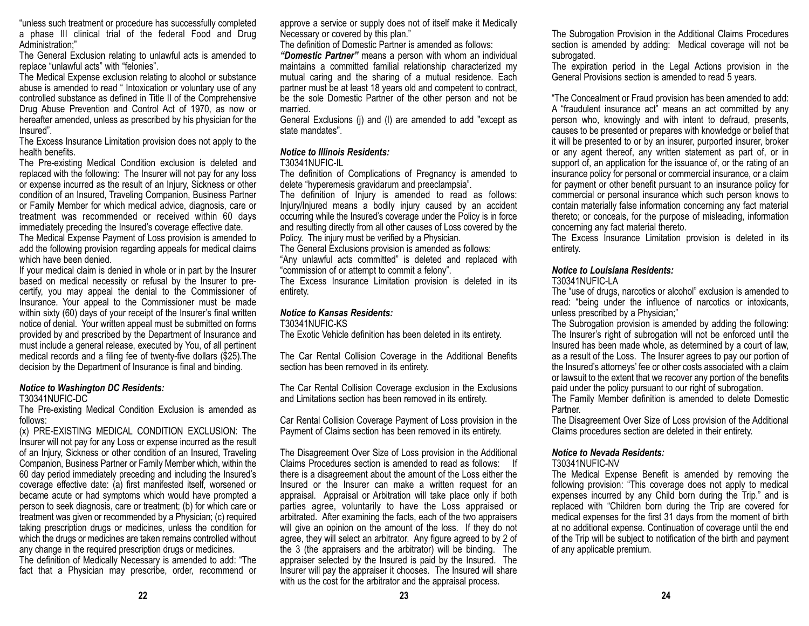"unless such treatment or procedure has successfully completed a phase III clinical trial of the federal Food and Drug Administration;"

The General Exclusion relating to unlawful acts is amended to replace "unlawful acts" with "felonies".

The Medical Expense exclusion relating to alcohol or substance abuse is amended to read " Intoxication or voluntary use of any controlled substance as defined in Title II of the Comprehensive Drug Abuse Prevention and Control Act of 1970, as now or hereafter amended, unless as prescribed by his physician for the Insured".

The Excess Insurance Limitation provision does not apply to the health benefits.

The Pre-existing Medical Condition exclusion is deleted and replaced with the following: The Insurer will not pay for any loss or expense incurred as the result of an Injury, Sickness or other condition of an Insured, Traveling Companion, Business Partner or Family Member for which medical advice, diagnosis, care or treatment was recommended or received within 60 days immediately preceding the Insured's coverage effective date.

The Medical Expense Payment of Loss provision is amended to add the following provision regarding appeals for medical claims which have been denied.

If your medical claim is denied in whole or in part by the Insurer based on medical necessity or refusal by the Insurer to precertify, you may appeal the denial to the Commissioner of Insurance. Your appeal to the Commissioner must be made within sixty (60) days of your receipt of the Insurer's final written notice of denial. Your written appeal must be submitted on forms provided by and prescribed by the Department of Insurance and must include a general release, executed by You, of all pertinent medical records and a filing fee of twenty-five dollars (\$25).The decision by the Department of Insurance is final and binding.

### *Notice to Washington DC Residents:*

T30341NUFIC-DC

The Pre-existing Medical Condition Exclusion is amended as follows:

(x) PRE-EXISTING MEDICAL CONDITION EXCLUSION: The Insurer will not pay for any Loss or expense incurred as the result of an Injury, Sickness or other condition of an Insured, Traveling Companion, Business Partner or Family Member which, within the 60 day period immediately preceding and including the Insured's coverage effective date: (a) first manifested itself, worsened or became acute or had symptoms which would have prompted a person to seek diagnosis, care or treatment; (b) for which care or treatment was given or recommended by a Physician; (c) required taking prescription drugs or medicines, unless the condition for which the drugs or medicines are taken remains controlled without any change in the required prescription drugs or medicines.

The definition of Medically Necessary is amended to add: "The fact that a Physician may prescribe, order, recommend or approve a service or supply does not of itself make it Medically Necessary or covered by this plan."

The definition of Domestic Partner is amended as follows:

*"Domestic Partner"* means a person with whom an individual maintains a committed familial relationship characterized my mutual caring and the sharing of a mutual residence. Each partner must be at least 18 years old and competent to contract, be the sole Domestic Partner of the other person and not be married.

General Exclusions (j) and (l) are amended to add "except as state mandates".

### *Notice to Illinois Residents:*

#### T30341NUFIC-IL

The definition of Complications of Pregnancy is amended to delete "hyperemesis gravidarum and preeclampsia".

The definition of Injury is amended to read as follows: Injury/Injured means a bodily injury caused by an accident occurring while the Insured's coverage under the Policy is in force and resulting directly from all other causes of Loss covered by the Policy. The injury must be verified by a Physician.

The General Exclusions provision is amended as follows:

"Any unlawful acts committed" is deleted and replaced with "commission of or attempt to commit a felony".

The Excess Insurance Limitation provision is deleted in its entirety.

### *Notice to Kansas Residents:*

T30341NUFIC-KS

The Exotic Vehicle definition has been deleted in its entirety.

The Car Rental Collision Coverage in the Additional Benefits section has been removed in its entirety.

The Car Rental Collision Coverage exclusion in the Exclusions and Limitations section has been removed in its entirety.

Car Rental Collision Coverage Payment of Loss provision in the Payment of Claims section has been removed in its entirety.

The Disagreement Over Size of Loss provision in the Additional Claims Procedures section is amended to read as follows: If there is a disagreement about the amount of the Loss either the Insured or the Insurer can make a written request for an appraisal. Appraisal or Arbitration will take place only if both parties agree, voluntarily to have the Loss appraised or arbitrated. After examining the facts, each of the two appraisers will give an opinion on the amount of the loss. If they do not agree, they will select an arbitrator. Any figure agreed to by 2 of the 3 (the appraisers and the arbitrator) will be binding. The appraiser selected by the Insured is paid by the Insured. The Insurer will pay the appraiser it chooses. The Insured will share with us the cost for the arbitrator and the appraisal process.

The expiration period in the Legal Actions provision in the General Provisions section is amended to read 5 years.

"The Concealment or Fraud provision has been amended to add: A "fraudulent insurance act" means an act committed by any person who, knowingly and with intent to defraud, presents, causes to be presented or prepares with knowledge or belief that it will be presented to or by an insurer, purported insurer, broker or any agent thereof, any written statement as part of, or in support of, an application for the issuance of, or the rating of an insurance policy for personal or commercial insurance, or a claim for payment or other benefit pursuant to an insurance policy for commercial or personal insurance which such person knows to contain materially false information concerning any fact material thereto; or conceals, for the purpose of misleading, information concerning any fact material thereto.

The Excess Insurance Limitation provision is deleted in its entirety.

### *Notice to Louisiana Residents:*

#### T30341NUFIC-LA

The "use of drugs, narcotics or alcohol" exclusion is amended to read: "being under the influence of narcotics or intoxicants, unless prescribed by a Physician;"

The Subrogation provision is amended by adding the following: The Insurer's right of subrogation will not be enforced until the Insured has been made whole, as determined by a court of law, as a result of the Loss. The Insurer agrees to pay our portion of the Insured's attorneys' fee or other costs associated with a claim or lawsuit to the extent that we recover any portion of the benefits paid under the policy pursuant to our right of subrogation.

The Family Member definition is amended to delete Domestic Partner.

The Disagreement Over Size of Loss provision of the Additional Claims procedures section are deleted in their entirety.

### *Notice to Nevada Residents:*

#### T30341NUFIC-NV

The Medical Expense Benefit is amended by removing the following provision: "This coverage does not apply to medical expenses incurred by any Child born during the Trip." and is replaced with "Children born during the Trip are covered for medical expenses for the first 31 days from the moment of birth at no additional expense. Continuation of coverage until the end of the Trip will be subject to notification of the birth and payment of any applicable premium.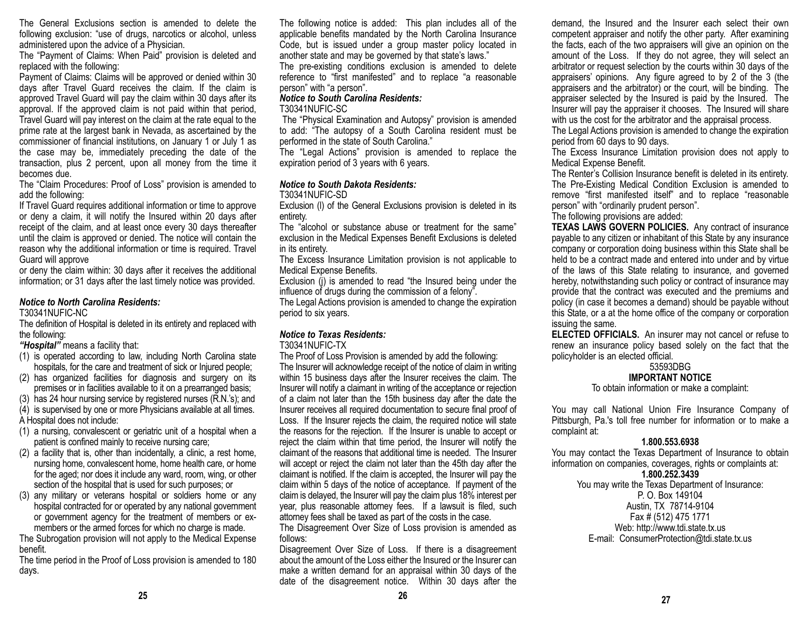The General Exclusions section is amended to delete the following exclusion: "use of drugs, narcotics or alcohol, unless administered upon the advice of a Physician.

The "Payment of Claims: When Paid" provision is deleted and replaced with the following:

Payment of Claims: Claims will be approved or denied within 30 days after Travel Guard receives the claim. If the claim is approved Travel Guard will pay the claim within 30 days after its approval. If the approved claim is not paid within that period, Travel Guard will pay interest on the claim at the rate equal to the prime rate at the largest bank in Nevada, as ascertained by the commissioner of financial institutions, on January 1 or July 1 as the case may be, immediately preceding the date of the transaction, plus 2 percent, upon all money from the time it becomes due.

The "Claim Procedures: Proof of Loss" provision is amended to add the following:

If Travel Guard requires additional information or time to approve or deny a claim, it will notify the Insured within 20 days after receipt of the claim, and at least once every 30 days thereafter until the claim is approved or denied. The notice will contain the reason why the additional information or time is required. Travel Guard will approve

or deny the claim within: 30 days after it receives the additional information; or 31 days after the last timely notice was provided.

### *Notice to North Carolina Residents:*

T30341NUFIC-NC

The definition of Hospital is deleted in its entirety and replaced with the following:

*"Hospital"* means a facility that:

- (1) is operated according to law, including North Carolina state hospitals, for the care and treatment of sick or Injured people;
- (2) has organized facilities for diagnosis and surgery on its premises or in facilities available to it on a prearranged basis;
- (3) has 24 hour nursing service by registered nurses (R.N.'s); and

(4) is supervised by one or more Physicians available at all times.

A Hospital does not include:

- (1) a nursing, convalescent or geriatric unit of a hospital when a patient is confined mainly to receive nursing care;
- (2) a facility that is, other than incidentally, a clinic, a rest home, nursing home, convalescent home, home health care, or home for the aged; nor does it include any ward, room, wing, or other section of the hospital that is used for such purposes; or
- (3) any military or veterans hospital or soldiers home or any hospital contracted for or operated by any national government or government agency for the treatment of members or exmembers or the armed forces for which no charge is made.

The Subrogation provision will not apply to the Medical Expense benefit.

The time period in the Proof of Loss provision is amended to 180 days.

The following notice is added: This plan includes all of the applicable benefits mandated by the North Carolina Insurance Code, but is issued under a group master policy located in another state and may be governed by that state's laws."

The pre-existing conditions exclusion is amended to delete reference to "first manifested" and to replace "a reasonable person" with "a person".

#### *Notice to South Carolina Residents:*

#### T30341NUFIC-SC

The "Physical Examination and Autopsy" provision is amended to add: "The autopsy of a South Carolina resident must be performed in the state of South Carolina."

The "Legal Actions" provision is amended to replace the expiration period of 3 years with 6 years.

### *Notice to South Dakota Residents:*

#### T30341NUFIC-SD

Exclusion (l) of the General Exclusions provision is deleted in its entirety.

The "alcohol or substance abuse or treatment for the same" exclusion in the Medical Expenses Benefit Exclusions is deleted in its entirety.

The Excess Insurance Limitation provision is not applicable to Medical Expense Benefits.

Exclusion (i) is amended to read "the Insured being under the influence of drugs during the commission of a felony".

The Legal Actions provision is amended to change the expiration period to six years.

### *Notice to Texas Residents:*

#### T30341NUFIC-TX

The Proof of Loss Provision is amended by add the following: The Insurer will acknowledge receipt of the notice of claim in writing within 15 business days after the Insurer receives the claim. The Insurer will notify a claimant in writing of the acceptance or rejection of a claim not later than the 15th business day after the date the Insurer receives all required documentation to secure final proof of Loss. If the Insurer rejects the claim, the required notice will state the reasons for the rejection. If the Insurer is unable to accept or reject the claim within that time period, the Insurer will notify the claimant of the reasons that additional time is needed. The Insurer will accept or reject the claim not later than the 45th day after the claimant is notified. If the claim is accepted, the Insurer will pay the claim within 5 days of the notice of acceptance. If payment of the claim is delayed, the Insurer will pay the claim plus 18% interest per year, plus reasonable attorney fees. If a lawsuit is filed, such attorney fees shall be taxed as part of the costs in the case.

The Disagreement Over Size of Loss provision is amended as follows:

Disagreement Over Size of Loss. If there is a disagreement about the amount of the Loss either the Insured or the Insurer can make a written demand for an appraisal within 30 days of the date of the disagreement notice. Within 30 days after the

demand, the Insured and the Insurer each select their own competent appraiser and notify the other party. After examining the facts, each of the two appraisers will give an opinion on the amount of the Loss. If they do not agree, they will select an arbitrator or request selection by the courts within 30 days of the appraisers' opinions. Any figure agreed to by 2 of the 3 (the appraisers and the arbitrator) or the court, will be binding. The appraiser selected by the Insured is paid by the Insured. The Insurer will pay the appraiser it chooses. The Insured will share with us the cost for the arbitrator and the appraisal process.

The Legal Actions provision is amended to change the expiration period from 60 days to 90 days.

The Excess Insurance Limitation provision does not apply to Medical Expense Benefit.

The Renter's Collision Insurance benefit is deleted in its entirety. The Pre-Existing Medical Condition Exclusion is amended to remove "first manifested itself" and to replace "reasonable person" with "ordinarily prudent person".

The following provisions are added:

**TEXAS LAWS GOVERN POLICIES.** Any contract of insurance payable to any citizen or inhabitant of this State by any insurance company or corporation doing business within this State shall be held to be a contract made and entered into under and by virtue of the laws of this State relating to insurance, and governed hereby, notwithstanding such policy or contract of insurance may provide that the contract was executed and the premiums and policy (in case it becomes a demand) should be payable without this State, or a at the home office of the company or corporation issuing the same.

**ELECTED OFFICIALS.** An insurer may not cancel or refuse to renew an insurance policy based solely on the fact that the policyholder is an elected official.

#### 53593DBG **IMPORTANT NOTICE**

### To obtain information or make a complaint:

You may call National Union Fire Insurance Company of Pittsburgh, Pa.'s toll free number for information or to make a complaint at:

### **1.800.553.6938**

You may contact the Texas Department of Insurance to obtain information on companies, coverages, rights or complaints at:

### **1.800.252.3439**

You may write the Texas Department of Insurance: P. O. Box 149104 Austin, TX 78714-9104 Fax # (512) 475 1771 Web: http://www.tdi.state.tx.us E-mail: ConsumerProtection@tdi.state.tx.us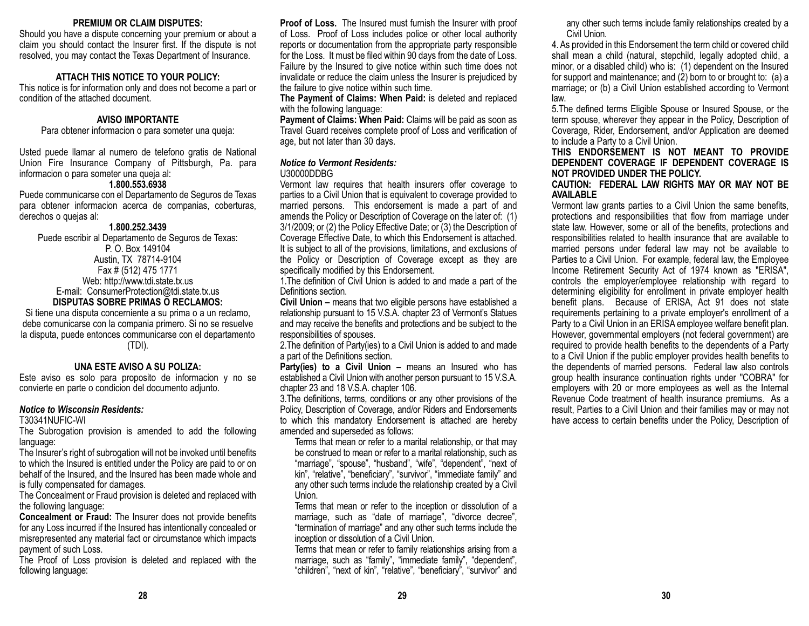#### **PREMIUM OR CLAIM DISPUTES:**

Should you have a dispute concerning your premium or about a claim you should contact the Insurer first. If the dispute is not resolved, you may contact the Texas Department of Insurance.

#### **ATTACH THIS NOTICE TO YOUR POLICY:**

This notice is for information only and does not become a part or condition of the attached document.

#### **AVISO IMPORTANTE**

Para obtener informacion o para someter una queja:

Usted puede llamar al numero de telefono gratis de National Union Fire Insurance Company of Pittsburgh, Pa. para informacion o para someter una queja al:

#### **1.800.553.6938**

Puede communicarse con el Departamento de Seguros de Texas para obtener informacion acerca de companias, coberturas, derechos o quejas al:

#### **1.800.252.3439**

Puede escribir al Departamento de Seguros de Texas: P. O. Box 149104 Austin, TX 78714-9104 Fax # (512) 475 1771 Web: http://www.tdi.state.tx.us E-mail: ConsumerProtection@tdi.state.tx.us **DISPUTAS SOBRE PRIMAS O RECLAMOS:**

Si tiene una disputa concerniente a su prima o a un reclamo, debe comunicarse con la compania primero. Si no se resuelve la disputa, puede entonces communicarse con el departamento (TDI).

#### **UNA ESTE AVISO A SU POLIZA:**

Este aviso es solo para proposito de informacion y no se convierte en parte o condicion del documento adjunto.

#### *Notice to Wisconsin Residents:*

T30341NUFIC-WI

The Subrogation provision is amended to add the following language:

The Insurer's right of subrogation will not be invoked until benefits to which the Insured is entitled under the Policy are paid to or on behalf of the Insured, and the Insured has been made whole and is fully compensated for damages.

The Concealment or Fraud provision is deleted and replaced with the following language:

**Concealment or Fraud:** The Insurer does not provide benefits for any Loss incurred if the Insured has intentionally concealed or misrepresented any material fact or circumstance which impacts payment of such Loss.

The Proof of Loss provision is deleted and replaced with the following language:

**Proof of Loss.** The Insured must furnish the Insurer with proof of Loss. Proof of Loss includes police or other local authority reports or documentation from the appropriate party responsible for the Loss. It must be filed within 90 days from the date of Loss. Failure by the Insured to give notice within such time does not invalidate or reduce the claim unless the Insurer is prejudiced by the failure to give notice within such time.

**The Payment of Claims: When Paid:** is deleted and replaced with the following language:

**Payment of Claims: When Paid:** Claims will be paid as soon as Travel Guard receives complete proof of Loss and verification of age, but not later than 30 days.

### *Notice to Vermont Residents:*

#### U30000DDBG

Vermont law requires that health insurers offer coverage to parties to a Civil Union that is equivalent to coverage provided to married persons. This endorsement is made a part of and amends the Policy or Description of Coverage on the later of: (1) 3/1/2009; or (2) the Policy Effective Date; or (3) the Description of Coverage Effective Date, to which this Endorsement is attached. It is subject to all of the provisions, limitations, and exclusions of the Policy or Description of Coverage except as they are specifically modified by this Endorsement.

1.The definition of Civil Union is added to and made a part of the Definitions section.

**Civil Union –** means that two eligible persons have established a relationship pursuant to 15 V.S.A. chapter 23 of Vermont's Statues and may receive the benefits and protections and be subject to the responsibilities of spouses.

2.The definition of Party(ies) to a Civil Union is added to and made a part of the Definitions section.

Party(ies) to a Civil Union – means an Insured who has established a Civil Union with another person pursuant to 15 V.S.A. chapter 23 and 18 V.S.A. chapter 106.

3.The definitions, terms, conditions or any other provisions of the Policy, Description of Coverage, and/or Riders and Endorsements to which this mandatory Endorsement is attached are hereby amended and superseded as follows:

Terms that mean or refer to a marital relationship, or that may be construed to mean or refer to a marital relationship, such as "marriage", "spouse", "husband", "wife", "dependent", "next of kin", "relative", "beneficiary", "survivor", "immediate family" and any other such terms include the relationship created by a Civil Union.

Terms that mean or refer to the inception or dissolution of a marriage, such as "date of marriage", "divorce decree", "termination of marriage" and any other such terms include the inception or dissolution of a Civil Union.

Terms that mean or refer to family relationships arising from a marriage, such as "family", "immediate family", "dependent", "children", "next of kin", "relative", "beneficiary", "survivor" and any other such terms include family relationships created by a Civil Union.

4. As provided in this Endorsement the term child or covered child shall mean a child (natural, stepchild, legally adopted child, a minor, or a disabled child) who is: (1) dependent on the Insured for support and maintenance; and  $(2)$  born to or brought to: (a) a marriage; or (b) a Civil Union established according to Vermont law.

5.The defined terms Eligible Spouse or Insured Spouse, or the term spouse, wherever they appear in the Policy, Description of Coverage, Rider, Endorsement, and/or Application are deemed to include a Party to a Civil Union.

#### **THIS ENDORSEMENT IS NOT MEANT TO PROVIDE DEPENDENT COVERAGE IF DEPENDENT COVERAGE IS NOT PROVIDED UNDER THE POLICY.**

#### **CAUTION: FEDERAL LAW RIGHTS MAY OR MAY NOT BE AVAILABLE**

Vermont law grants parties to a Civil Union the same benefits, protections and responsibilities that flow from marriage under state law. However, some or all of the benefits, protections and responsibilities related to health insurance that are available to married persons under federal law may not be available to Parties to a Civil Union. For example, federal law, the Employee Income Retirement Security Act of 1974 known as "ERISA", controls the employer/employee relationship with regard to determining eligibility for enrollment in private employer health benefit plans. Because of ERISA, Act 91 does not state requirements pertaining to a private employer's enrollment of a Party to a Civil Union in an ERISA employee welfare benefit plan. However, governmental employers (not federal government) are required to provide health benefits to the dependents of a Party to a Civil Union if the public employer provides health benefits to the dependents of married persons. Federal law also controls group health insurance continuation rights under "COBRA" for employers with 20 or more employees as well as the Internal Revenue Code treatment of health insurance premiums. As a result, Parties to a Civil Union and their families may or may not have access to certain benefits under the Policy, Description of